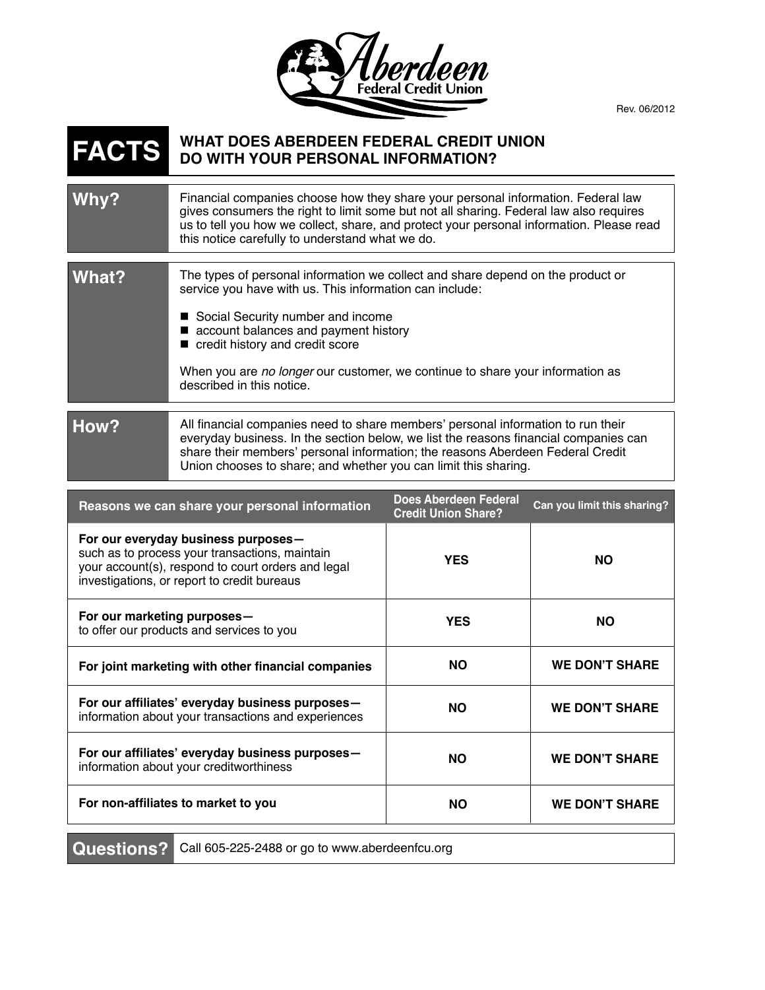

Rev. 06/2012

## **WHAT DOES ABERDEEN FEDERAL CREDIT UNION FACTS DO WITH YOUR PERSONAL INFORMATION?**

| Why?  | Financial companies choose how they share your personal information. Federal law<br>gives consumers the right to limit some but not all sharing. Federal law also requires<br>us to tell you how we collect, share, and protect your personal information. Please read<br>this notice carefully to understand what we do. |
|-------|---------------------------------------------------------------------------------------------------------------------------------------------------------------------------------------------------------------------------------------------------------------------------------------------------------------------------|
|       |                                                                                                                                                                                                                                                                                                                           |
| What? | The types of personal information we collect and share depend on the product or<br>service you have with us. This information can include:                                                                                                                                                                                |
|       | ■ Social Security number and income<br>account balances and payment history<br>credit history and credit score                                                                                                                                                                                                            |
|       | When you are no longer our customer, we continue to share your information as<br>described in this notice.                                                                                                                                                                                                                |
|       |                                                                                                                                                                                                                                                                                                                           |
|       | All financial companies need to chara members' personal information to run their                                                                                                                                                                                                                                          |

**How?** All financial companies need to share members' personal information to run their everyday business. In the section below, we list the reasons financial companies can share their members' personal information; the reasons Aberdeen Federal Credit Union chooses to share; and whether you can limit this sharing.

| Reasons we can share your personal information                                                                                                                                             | Does Aberdeen Federal<br><b>Credit Union Share?</b> | Can you limit this sharing? |
|--------------------------------------------------------------------------------------------------------------------------------------------------------------------------------------------|-----------------------------------------------------|-----------------------------|
| For our everyday business purposes-<br>such as to process your transactions, maintain<br>your account(s), respond to court orders and legal<br>investigations, or report to credit bureaus | <b>YES</b>                                          | <b>NO</b>                   |
| For our marketing purposes-<br>to offer our products and services to you                                                                                                                   | <b>YES</b>                                          | <b>NO</b>                   |
| For joint marketing with other financial companies                                                                                                                                         | <b>NO</b>                                           | <b>WE DON'T SHARE</b>       |
| For our affiliates' everyday business purposes-<br>information about your transactions and experiences                                                                                     | <b>NO</b>                                           | <b>WE DON'T SHARE</b>       |
| For our affiliates' everyday business purposes-<br>information about your creditworthiness                                                                                                 | <b>NO</b>                                           | <b>WE DON'T SHARE</b>       |
| For non-affiliates to market to you                                                                                                                                                        | <b>NO</b>                                           | <b>WE DON'T SHARE</b>       |

Questions? Call 605-225-2488 or go to www.aberdeenfcu.org